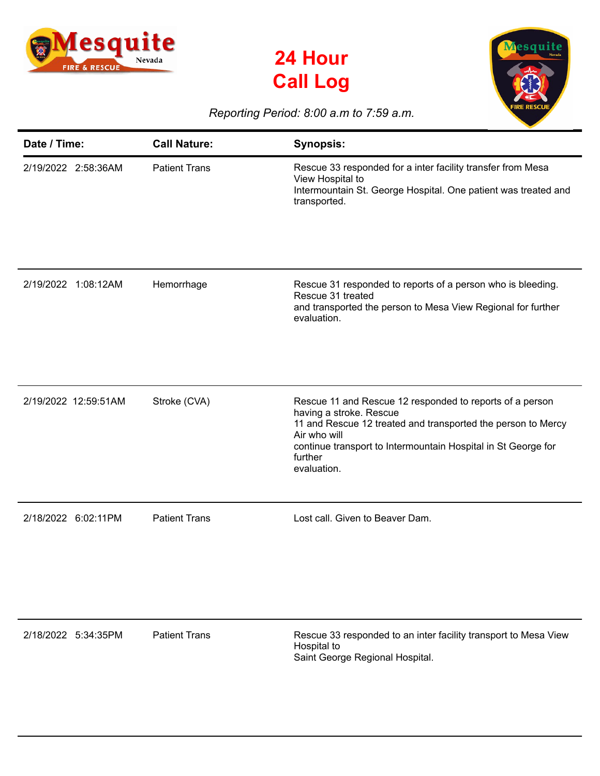





## *Reporting Period: 8:00 a.m to 7:59 a.m.*

| Date / Time:         | <b>Call Nature:</b>  | <b>Synopsis:</b>                                                                                                                                                                                                                                               |
|----------------------|----------------------|----------------------------------------------------------------------------------------------------------------------------------------------------------------------------------------------------------------------------------------------------------------|
| 2/19/2022 2:58:36AM  | <b>Patient Trans</b> | Rescue 33 responded for a inter facility transfer from Mesa<br>View Hospital to<br>Intermountain St. George Hospital. One patient was treated and<br>transported.                                                                                              |
| 2/19/2022 1:08:12AM  | Hemorrhage           | Rescue 31 responded to reports of a person who is bleeding.<br>Rescue 31 treated<br>and transported the person to Mesa View Regional for further<br>evaluation.                                                                                                |
| 2/19/2022 12:59:51AM | Stroke (CVA)         | Rescue 11 and Rescue 12 responded to reports of a person<br>having a stroke. Rescue<br>11 and Rescue 12 treated and transported the person to Mercy<br>Air who will<br>continue transport to Intermountain Hospital in St George for<br>further<br>evaluation. |
| 2/18/2022 6:02:11PM  | <b>Patient Trans</b> | Lost call. Given to Beaver Dam.                                                                                                                                                                                                                                |

2/18/2022 5:34:35PM Patient Trans Rescue 33 responded to an inter facility transport to Mesa View Hospital to Saint George Regional Hospital.